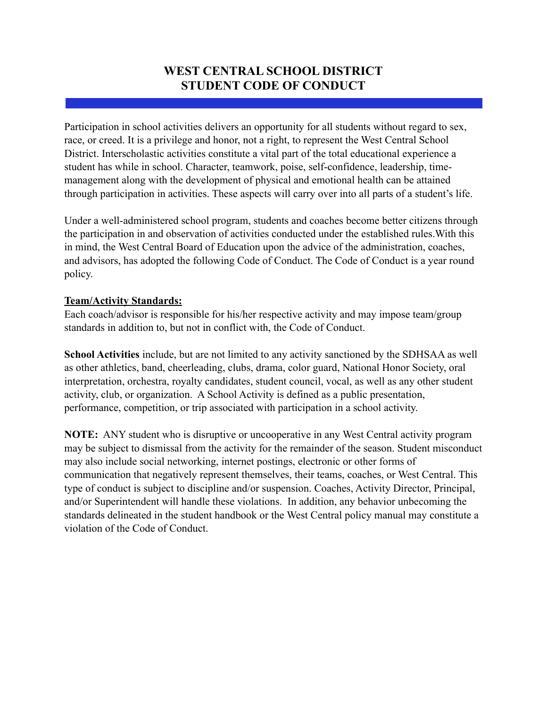## **WEST CENTRAL SCHOOL DISTRICT STUDENT CODE OF CONDUCT**

Participation in school activities delivers an opportunity for all students without regard to sex, race, or creed. It is a privilege and honor, not a right, to represent the West Central School District. Interscholastic activities constitute a vital part of the total educational experience a student has while in school. Character, teamwork, poise, self-confidence, leadership, timemanagement along with the development of physical and emotional health can be attained through participation in activities. These aspects will carry over into all parts of a student's life.

Under a well-administered school program, students and coaches become better citizens through the participation in and observation of activities conducted under the established rules.With this in mind, the West Central Board of Education upon the advice of the administration, coaches, and advisors, has adopted the following Code of Conduct. The Code of Conduct is a year round policy.

#### **Team/Activity Standards:**

Each coach/advisor is responsible for his/her respective activity and may impose team/group standards in addition to, but not in conflict with, the Code of Conduct.

**School Activities** include, but are not limited to any activity sanctioned by the SDHSAA as well as other athletics, band, cheerleading, clubs, drama, color guard, National Honor Society, oral interpretation, orchestra, royalty candidates, student council, vocal, as well as any other student activity, club, or organization. A School Activity is defined as a public presentation, performance, competition, or trip associated with participation in a school activity.

**NOTE:** ANY student who is disruptive or uncooperative in any West Central activity program may be subject to dismissal from the activity for the remainder of the season. Student misconduct may also include social networking, internet postings, electronic or other forms of communication that negatively represent themselves, their teams, coaches, or West Central. This type of conduct is subject to discipline and/or suspension. Coaches, Activity Director, Principal, and/or Superintendent will handle these violations. In addition, any behavior unbecoming the standards delineated in the student handbook or the West Central policy manual may constitute a violation of the Code of Conduct.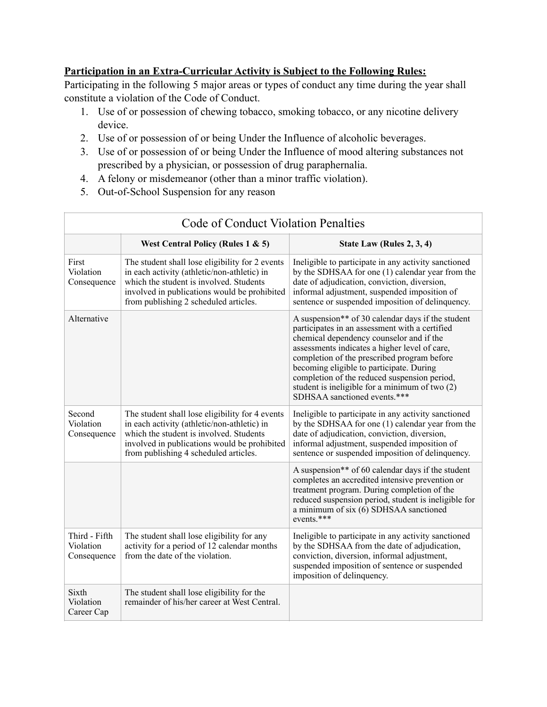#### **Participation in an Extra-Curricular Activity is Subject to the Following Rules:**

Participating in the following 5 major areas or types of conduct any time during the year shall constitute a violation of the Code of Conduct.

- 1. Use of or possession of chewing tobacco, smoking tobacco, or any nicotine delivery device.
- 2. Use of or possession of or being Under the Influence of alcoholic beverages.
- 3. Use of or possession of or being Under the Influence of mood altering substances not prescribed by a physician, or possession of drug paraphernalia.
- 4. A felony or misdemeanor (other than a minor traffic violation).
- 5. Out-of-School Suspension for any reason

 $\mathbb{I}$ 

| <b>Code of Conduct Violation Penalties</b> |                                                                                                                                                                                                                                    |                                                                                                                                                                                                                                                                                                                                                                                                                               |
|--------------------------------------------|------------------------------------------------------------------------------------------------------------------------------------------------------------------------------------------------------------------------------------|-------------------------------------------------------------------------------------------------------------------------------------------------------------------------------------------------------------------------------------------------------------------------------------------------------------------------------------------------------------------------------------------------------------------------------|
|                                            | West Central Policy (Rules $1 \& 5$ )                                                                                                                                                                                              | State Law (Rules 2, 3, 4)                                                                                                                                                                                                                                                                                                                                                                                                     |
| First<br>Violation<br>Consequence          | The student shall lose eligibility for 2 events<br>in each activity (athletic/non-athletic) in<br>which the student is involved. Students<br>involved in publications would be prohibited<br>from publishing 2 scheduled articles. | Ineligible to participate in any activity sanctioned<br>by the SDHSAA for one (1) calendar year from the<br>date of adjudication, conviction, diversion,<br>informal adjustment, suspended imposition of<br>sentence or suspended imposition of delinquency.                                                                                                                                                                  |
| Alternative                                |                                                                                                                                                                                                                                    | A suspension** of 30 calendar days if the student<br>participates in an assessment with a certified<br>chemical dependency counselor and if the<br>assessments indicates a higher level of care,<br>completion of the prescribed program before<br>becoming eligible to participate. During<br>completion of the reduced suspension period,<br>student is ineligible for a minimum of two (2)<br>SDHSAA sanctioned events.*** |
| Second<br>Violation<br>Consequence         | The student shall lose eligibility for 4 events<br>in each activity (athletic/non-athletic) in<br>which the student is involved. Students<br>involved in publications would be prohibited<br>from publishing 4 scheduled articles. | Ineligible to participate in any activity sanctioned<br>by the SDHSAA for one (1) calendar year from the<br>date of adjudication, conviction, diversion,<br>informal adjustment, suspended imposition of<br>sentence or suspended imposition of delinquency.                                                                                                                                                                  |
|                                            |                                                                                                                                                                                                                                    | A suspension** of 60 calendar days if the student<br>completes an accredited intensive prevention or<br>treatment program. During completion of the<br>reduced suspension period, student is ineligible for<br>a minimum of six (6) SDHSAA sanctioned<br>events.***                                                                                                                                                           |
| Third - Fifth<br>Violation<br>Consequence  | The student shall lose eligibility for any<br>activity for a period of 12 calendar months<br>from the date of the violation.                                                                                                       | Ineligible to participate in any activity sanctioned<br>by the SDHSAA from the date of adjudication,<br>conviction, diversion, informal adjustment,<br>suspended imposition of sentence or suspended<br>imposition of delinquency.                                                                                                                                                                                            |
| Sixth<br>Violation<br>Career Cap           | The student shall lose eligibility for the<br>remainder of his/her career at West Central.                                                                                                                                         |                                                                                                                                                                                                                                                                                                                                                                                                                               |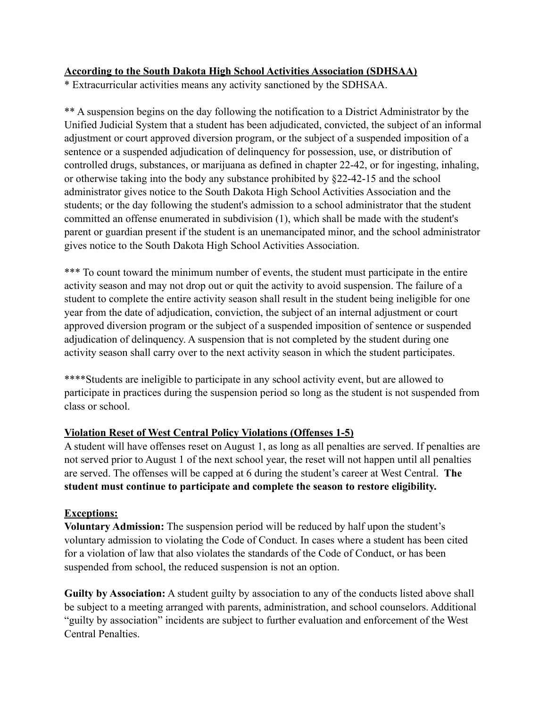#### **According to the South Dakota High School Activities Association (SDHSAA)**

\* Extracurricular activities means any activity sanctioned by the SDHSAA.

\*\* A suspension begins on the day following the notification to a District Administrator by the Unified Judicial System that a student has been adjudicated, convicted, the subject of an informal adjustment or court approved diversion program, or the subject of a suspended imposition of a sentence or a suspended adjudication of delinquency for possession, use, or distribution of controlled drugs, substances, or marijuana as defined in chapter 22-42, or for ingesting, inhaling, or otherwise taking into the body any substance prohibited by §22-42-15 and the school administrator gives notice to the South Dakota High School Activities Association and the students; or the day following the student's admission to a school administrator that the student committed an offense enumerated in subdivision (1), which shall be made with the student's parent or guardian present if the student is an unemancipated minor, and the school administrator gives notice to the South Dakota High School Activities Association.

\*\*\* To count toward the minimum number of events, the student must participate in the entire activity season and may not drop out or quit the activity to avoid suspension. The failure of a student to complete the entire activity season shall result in the student being ineligible for one year from the date of adjudication, conviction, the subject of an internal adjustment or court approved diversion program or the subject of a suspended imposition of sentence or suspended adjudication of delinquency. A suspension that is not completed by the student during one activity season shall carry over to the next activity season in which the student participates.

\*\*\*\*Students are ineligible to participate in any school activity event, but are allowed to participate in practices during the suspension period so long as the student is not suspended from class or school.

### **Violation Reset of West Central Policy Violations (Offenses 1-5)**

A student will have offenses reset on August 1, as long as all penalties are served. If penalties are not served prior to August 1 of the next school year, the reset will not happen until all penalties are served. The offenses will be capped at 6 during the student's career at West Central. **The student must continue to participate and complete the season to restore eligibility.**

#### **Exceptions:**

**Voluntary Admission:** The suspension period will be reduced by half upon the student's voluntary admission to violating the Code of Conduct. In cases where a student has been cited for a violation of law that also violates the standards of the Code of Conduct, or has been suspended from school, the reduced suspension is not an option.

**Guilty by Association:** A student guilty by association to any of the conducts listed above shall be subject to a meeting arranged with parents, administration, and school counselors. Additional "guilty by association" incidents are subject to further evaluation and enforcement of the West Central Penalties.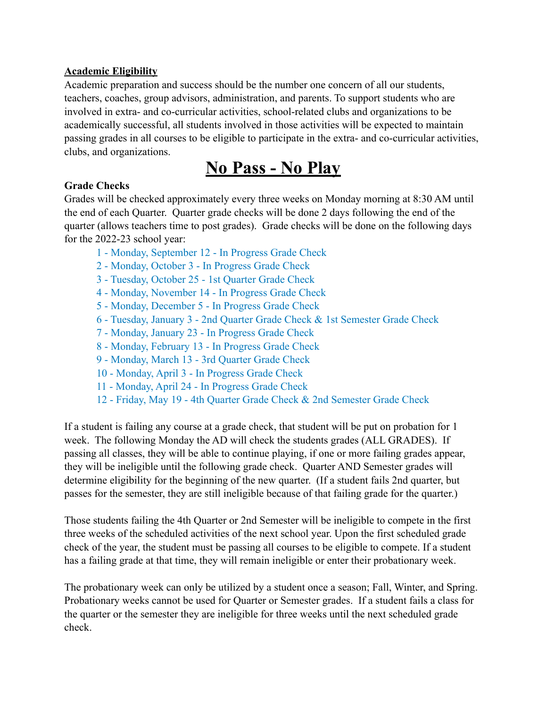#### **Academic Eligibility**

Academic preparation and success should be the number one concern of all our students, teachers, coaches, group advisors, administration, and parents. To support students who are involved in extra- and co-curricular activities, school-related clubs and organizations to be academically successful, all students involved in those activities will be expected to maintain passing grades in all courses to be eligible to participate in the extra- and co-curricular activities, clubs, and organizations.

# **No Pass - No Play**

### **Grade Checks**

Grades will be checked approximately every three weeks on Monday morning at 8:30 AM until the end of each Quarter. Quarter grade checks will be done 2 days following the end of the quarter (allows teachers time to post grades). Grade checks will be done on the following days for the 2022-23 school year:

- 1 Monday, September 12 In Progress Grade Check
- 2 Monday, October 3 In Progress Grade Check
- 3 Tuesday, October 25 1st Quarter Grade Check
- 4 Monday, November 14 In Progress Grade Check
- 5 Monday, December 5 In Progress Grade Check
- 6 Tuesday, January 3 2nd Quarter Grade Check & 1st Semester Grade Check
- 7 Monday, January 23 In Progress Grade Check
- 8 Monday, February 13 In Progress Grade Check
- 9 Monday, March 13 3rd Quarter Grade Check
- 10 Monday, April 3 In Progress Grade Check
- 11 Monday, April 24 In Progress Grade Check
- 12 Friday, May 19 4th Quarter Grade Check & 2nd Semester Grade Check

If a student is failing any course at a grade check, that student will be put on probation for 1 week. The following Monday the AD will check the students grades (ALL GRADES). If passing all classes, they will be able to continue playing, if one or more failing grades appear, they will be ineligible until the following grade check. Quarter AND Semester grades will determine eligibility for the beginning of the new quarter. (If a student fails 2nd quarter, but passes for the semester, they are still ineligible because of that failing grade for the quarter.)

Those students failing the 4th Quarter or 2nd Semester will be ineligible to compete in the first three weeks of the scheduled activities of the next school year. Upon the first scheduled grade check of the year, the student must be passing all courses to be eligible to compete. If a student has a failing grade at that time, they will remain ineligible or enter their probationary week.

The probationary week can only be utilized by a student once a season; Fall, Winter, and Spring. Probationary weeks cannot be used for Quarter or Semester grades. If a student fails a class for the quarter or the semester they are ineligible for three weeks until the next scheduled grade check.